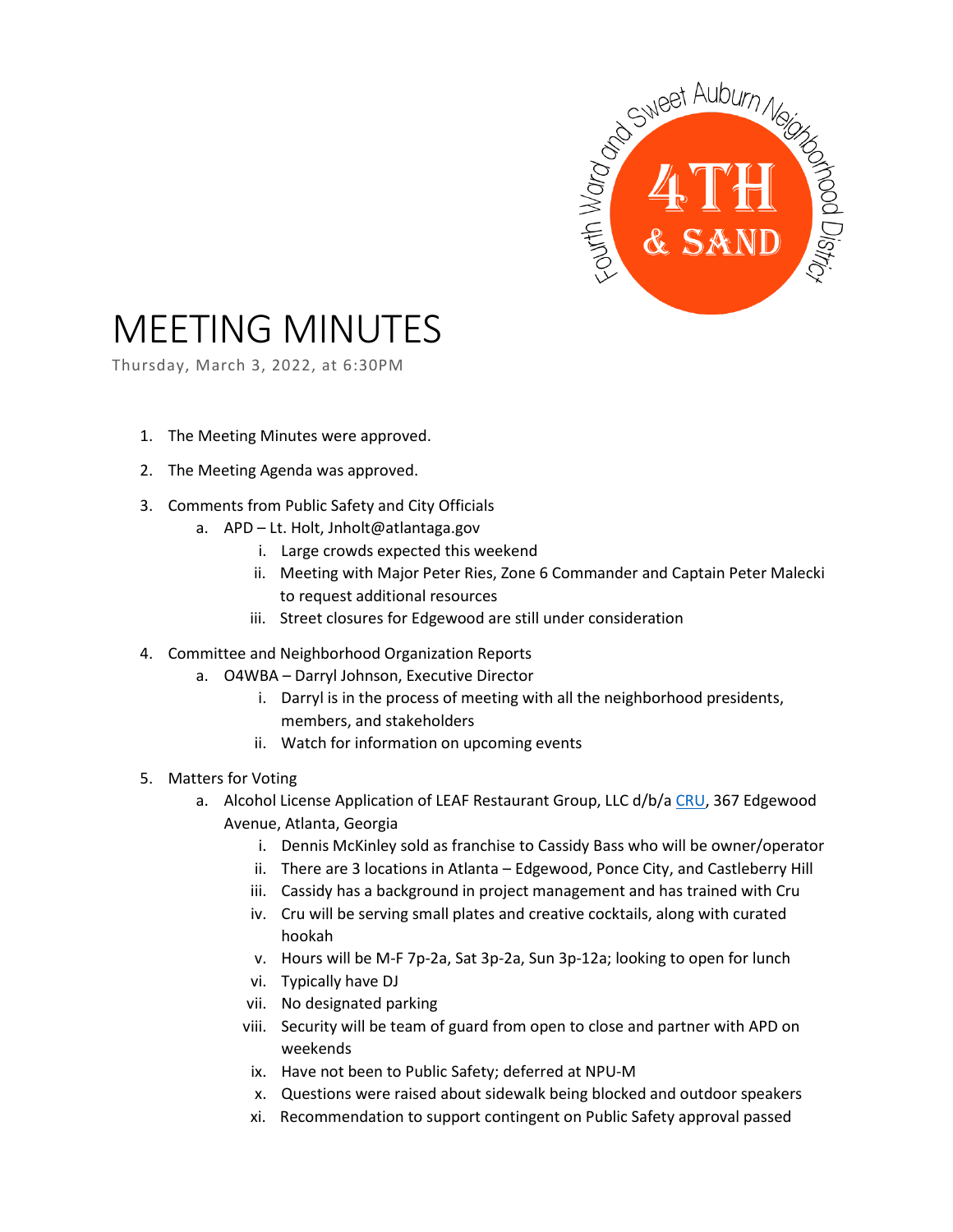

## MEETING MINUTES

Thursday, March 3, 2022, at 6:30PM

- 1. The Meeting Minutes were approved.
- 2. The Meeting Agenda was approved.
- 3. Comments from Public Safety and City Officials
	- a. APD Lt. Holt, Jnholt@atlantaga.gov
		- i. Large crowds expected this weekend
		- ii. Meeting with Major Peter Ries, Zone 6 Commander and Captain Peter Malecki to request additional resources
		- iii. Street closures for Edgewood are still under consideration
- 4. Committee and Neighborhood Organization Reports
	- a. O4WBA Darryl Johnson, Executive Director
		- i. Darryl is in the process of meeting with all the neighborhood presidents, members, and stakeholders
		- ii. Watch for information on upcoming events
- 5. Matters for Voting
	- a. Alcohol License Application of LEAF Restaurant Group, LLC d/b/a [CRU,](https://crulounge.com/) 367 Edgewood Avenue, Atlanta, Georgia
		- i. Dennis McKinley sold as franchise to Cassidy Bass who will be owner/operator
		- ii. There are 3 locations in Atlanta Edgewood, Ponce City, and Castleberry Hill
		- iii. Cassidy has a background in project management and has trained with Cru
		- iv. Cru will be serving small plates and creative cocktails, along with curated hookah
		- v. Hours will be M-F 7p-2a, Sat 3p-2a, Sun 3p-12a; looking to open for lunch
		- vi. Typically have DJ
		- vii. No designated parking
		- viii. Security will be team of guard from open to close and partner with APD on weekends
		- ix. Have not been to Public Safety; deferred at NPU-M
		- x. Questions were raised about sidewalk being blocked and outdoor speakers
		- xi. Recommendation to support contingent on Public Safety approval passed